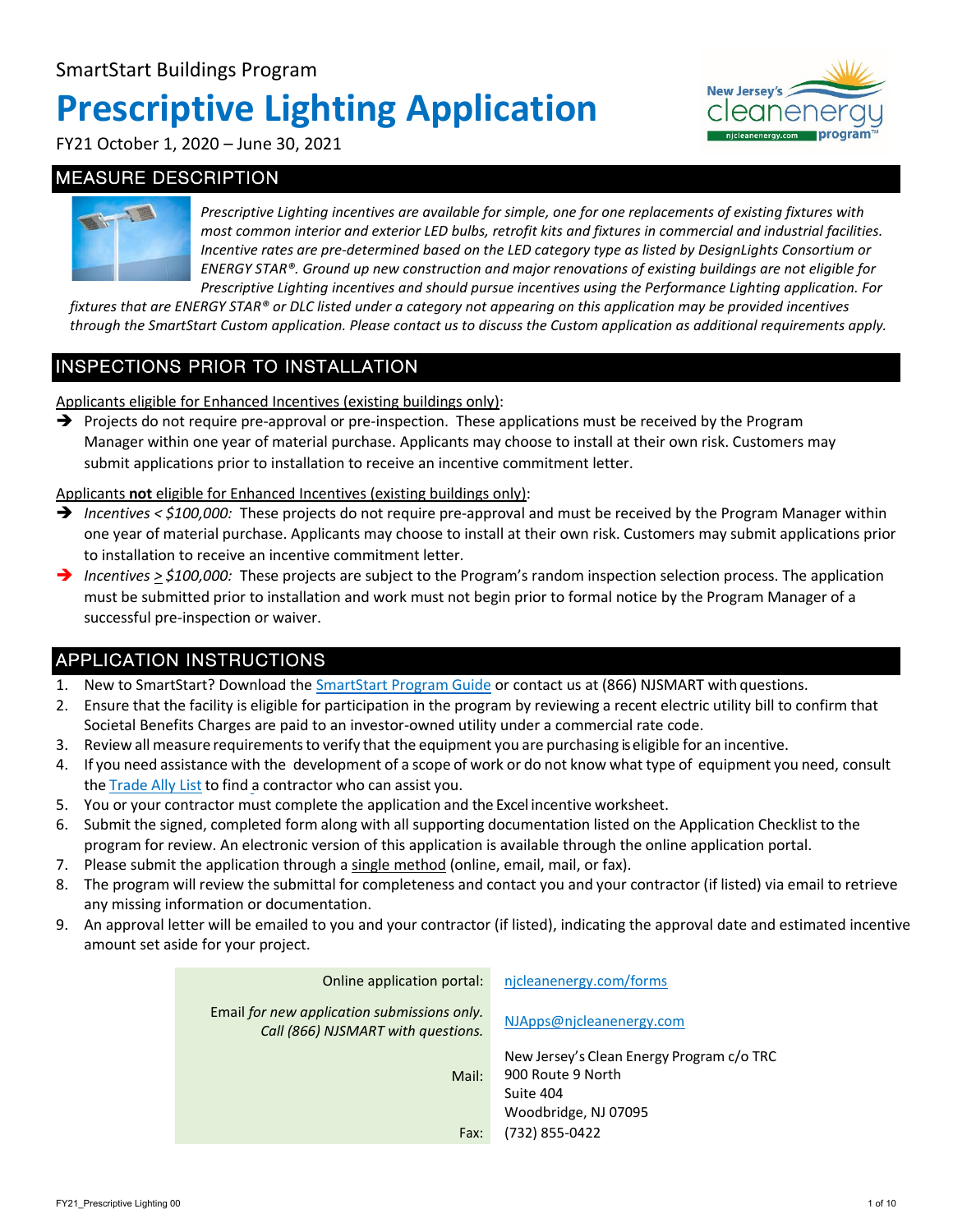# **Prescriptive Lighting Application**



FY21 October 1, 2020 – June 30, 2021

#### MEASURE DESCRIPTION



*Prescriptive Lighting incentives are available for simple, one for one replacements of existing fixtures with most common interior and exterior LED bulbs, retrofit kits and fixtures in commercial and industrial facilities. Incentive rates are pre-determined based on the LED category type as listed by DesignLights Consortium or ENERGY STAR®. Ground up new construction and major renovations of existing buildings are not eligible for Prescriptive Lighting incentives and should pursue incentives using the Performance Lighting application. For* 

*fixtures that are ENERGY STAR® or DLC listed under a category not appearing on this application may be provided incentives through the SmartStart Custom application. Please contact us to discuss the Custom application as additional requirements apply.*

#### INSPECTIONS PRIOR TO INSTALLATION

Applicants eligible for Enhanced Incentives (existing buildings only):

 $\rightarrow$  Projects do not require pre-approval or pre-inspection. These applications must be received by the Program Manager within one year of material purchase. Applicants may choose to install at their own risk. Customers may submit applications prior to installation to receive an incentive commitment letter.

Applicants **not** eligible for Enhanced Incentives (existing buildings only):

- → Incentives < \$100,000: These projects do not require pre-approval and must be received by the Program Manager within one year of material purchase. Applicants may choose to install at their own risk. Customers may submit applications prior to installation to receive an incentive commitment letter.
- *Incentives > \$100,000:* These projects are subject to the Program's random inspection selection process. The application must be submitted prior to installation and work must not begin prior to formal notice by the Program Manager of a successful pre-inspection or waiver.

#### APPLICATION INSTRUCTIONS

- 1. New to SmartStart? Download the [SmartStart Program Guide](http://njcleanenergy.com/commercial-industrial/programs/nj-smartstart-buildings/tools-and-resources/program-guide) or contact us at (866) NJSMART with questions.
- 2. Ensure that the facility is eligible for participation in the program by reviewing a recent electric utility bill to confirm that Societal Benefits Charges are paid to an investor-owned utility under a commercial rate code.
- 3. Review all measure requirementsto verify that the equipment you are purchasing is eligible for an incentive.
- 4. If you need assistance with the development of a scope of work or do not know what type of equipment you need, consult the [Trade](http://njcleanenergy.com/ally) Ally List to find a contractor who can assist you.
- 5. You or your contractor must complete the application and the Excel incentive worksheet.
- 6. Submit the signed, completed form along with all supporting documentation listed on the Application Checklist to the program for review. An electronic version of this application is available through the online application portal.
- 7. Please submit the application through a single method (online, email, mail, or fax).
- 8. The program will review the submittal for completeness and contact you and your contractor (if listed) via email to retrieve any missing information or documentation.
- 9. An approval letter will be emailed to you and your contractor (if listed), indicating the approval date and estimated incentive amount set aside for your project.

| Online application portal:                                                        | njcleanenergy.com/forms                                                                                               |
|-----------------------------------------------------------------------------------|-----------------------------------------------------------------------------------------------------------------------|
| Email for new application submissions only.<br>Call (866) NJSMART with questions. | NJApps@njcleanenergy.com                                                                                              |
| Mail:<br>Fax:                                                                     | New Jersey's Clean Energy Program c/o TRC<br>900 Route 9 North<br>Suite 404<br>Woodbridge, NJ 07095<br>(732) 855-0422 |
|                                                                                   |                                                                                                                       |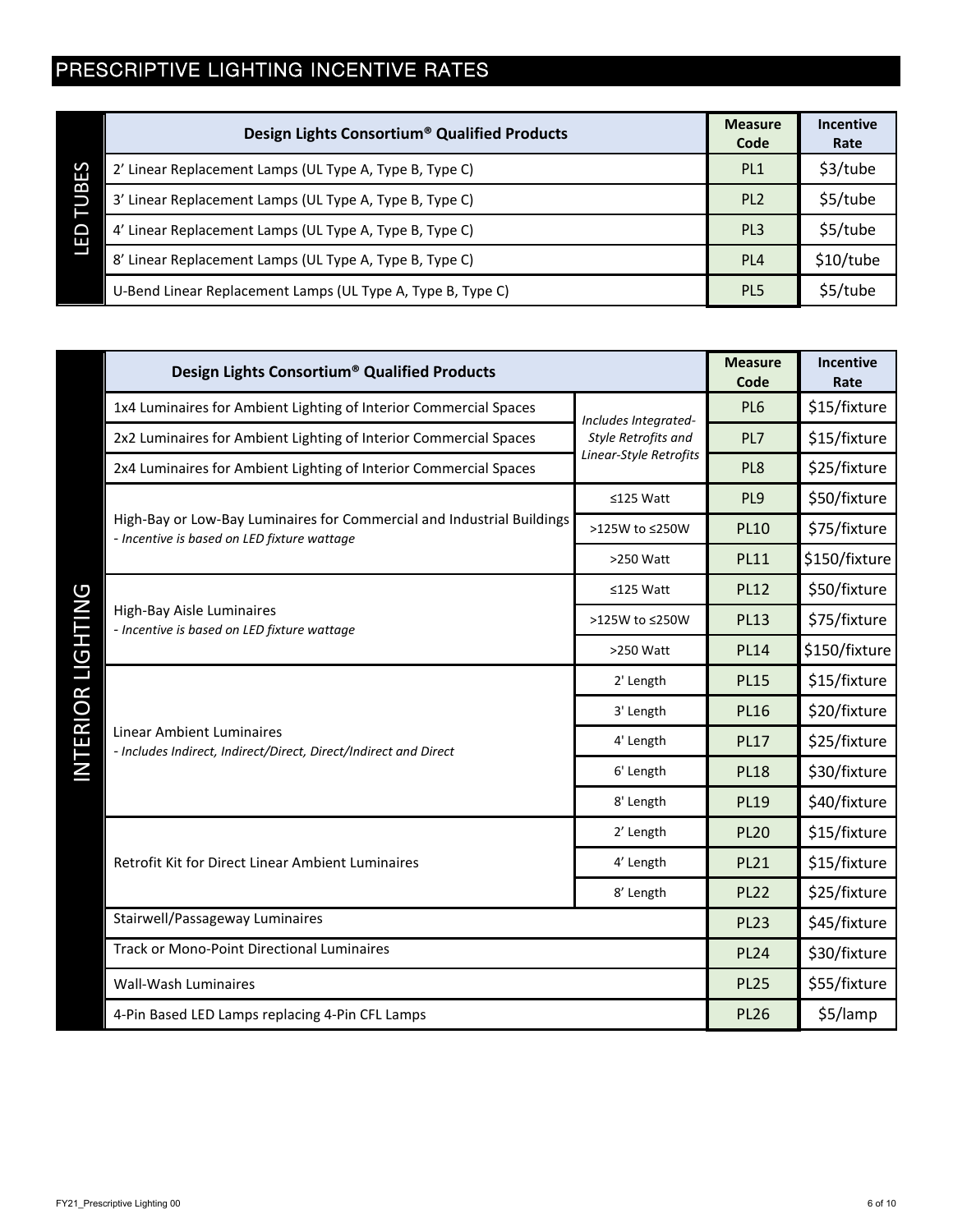## PRESCRIPTIVE LIGHTING INCENTIVE RATES

|        | Design Lights Consortium <sup>®</sup> Qualified Products    | <b>Measure</b><br>Code | <b>Incentive</b><br>Rate |
|--------|-------------------------------------------------------------|------------------------|--------------------------|
| S<br>ш | 2' Linear Replacement Lamps (UL Type A, Type B, Type C)     | PL <sub>1</sub>        | \$3/tube                 |
| В      | 3' Linear Replacement Lamps (UL Type A, Type B, Type C)     | PL <sub>2</sub>        | \$5/tube                 |
| ◠<br>ш | 4' Linear Replacement Lamps (UL Type A, Type B, Type C)     | PL <sub>3</sub>        | \$5/tube                 |
|        | 8' Linear Replacement Lamps (UL Type A, Type B, Type C)     | PL <sub>4</sub>        | \$10/tube                |
|        | U-Bend Linear Replacement Lamps (UL Type A, Type B, Type C) | PL <sub>5</sub>        | \$5/tube                 |

| Design Lights Consortium <sup>®</sup> Qualified Products                                                              |                        | <b>Measure</b><br>Code | Incentive<br>Rate |
|-----------------------------------------------------------------------------------------------------------------------|------------------------|------------------------|-------------------|
| 1x4 Luminaires for Ambient Lighting of Interior Commercial Spaces                                                     | Includes Integrated-   | PL6                    | \$15/fixture      |
| 2x2 Luminaires for Ambient Lighting of Interior Commercial Spaces                                                     | Style Retrofits and    | PL7                    | \$15/fixture      |
| 2x4 Luminaires for Ambient Lighting of Interior Commercial Spaces                                                     | Linear-Style Retrofits | PL8                    | \$25/fixture      |
|                                                                                                                       | ≤125 Watt              | PL9                    | \$50/fixture      |
| High-Bay or Low-Bay Luminaires for Commercial and Industrial Buildings<br>- Incentive is based on LED fixture wattage | >125W to ≤250W         | <b>PL10</b>            | \$75/fixture      |
|                                                                                                                       | >250 Watt              | <b>PL11</b>            | \$150/fixture     |
|                                                                                                                       | ≤125 Watt              | <b>PL12</b>            | \$50/fixture      |
| High-Bay Aisle Luminaires<br>- Incentive is based on LED fixture wattage                                              | >125W to ≤250W         | <b>PL13</b>            | \$75/fixture      |
|                                                                                                                       | >250 Watt              | <b>PL14</b>            | \$150/fixture     |
|                                                                                                                       | 2' Length              | <b>PL15</b>            | \$15/fixture      |
|                                                                                                                       | 3' Length              | <b>PL16</b>            | \$20/fixture      |
| <b>Linear Ambient Luminaires</b><br>- Includes Indirect, Indirect/Direct, Direct/Indirect and Direct                  | 4' Length              | <b>PL17</b>            | \$25/fixture      |
|                                                                                                                       | 6' Length              | <b>PL18</b>            | \$30/fixture      |
|                                                                                                                       | 8' Length              | <b>PL19</b>            | \$40/fixture      |
|                                                                                                                       | 2' Length              | <b>PL20</b>            | \$15/fixture      |
| Retrofit Kit for Direct Linear Ambient Luminaires                                                                     | 4' Length              | <b>PL21</b>            | \$15/fixture      |
|                                                                                                                       | 8' Length              | <b>PL22</b>            | \$25/fixture      |
| Stairwell/Passageway Luminaires                                                                                       |                        | <b>PL23</b>            | \$45/fixture      |
| <b>Track or Mono-Point Directional Luminaires</b>                                                                     |                        | <b>PL24</b>            | \$30/fixture      |
| Wall-Wash Luminaires                                                                                                  |                        | <b>PL25</b>            | \$55/fixture      |
| 4-Pin Based LED Lamps replacing 4-Pin CFL Lamps                                                                       |                        | <b>PL26</b>            | \$5/lamp          |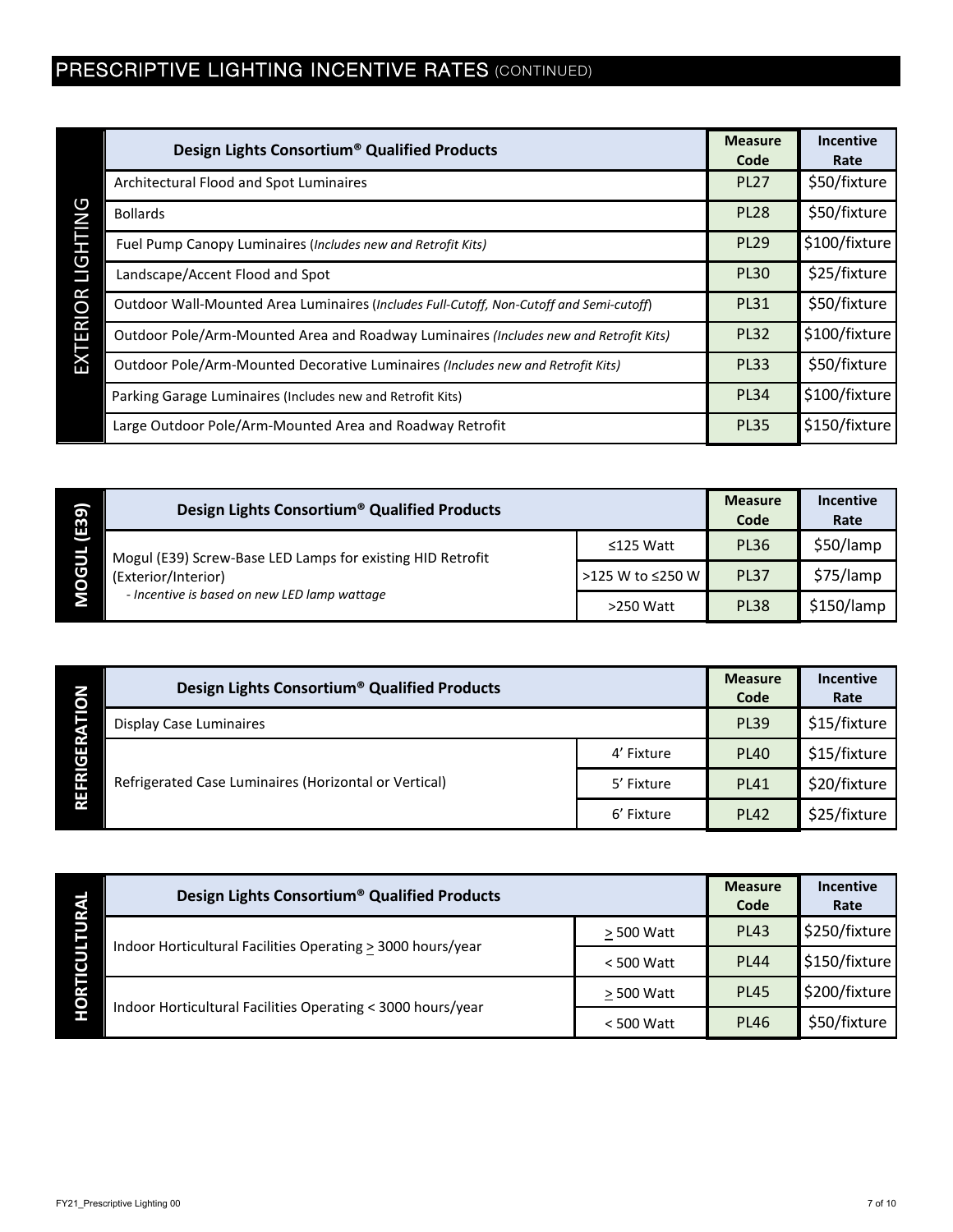## PRESCRIPTIVE LIGHTING INCENTIVE RATES (CONTINUED)

|             | Design Lights Consortium <sup>®</sup> Qualified Products                                | <b>Measure</b><br>Code | <b>Incentive</b><br>Rate |
|-------------|-----------------------------------------------------------------------------------------|------------------------|--------------------------|
|             | Architectural Flood and Spot Luminaires                                                 | <b>PL27</b>            | \$50/fixture             |
| <b>DN</b>   | <b>Bollards</b>                                                                         | <b>PL28</b>            | \$50/fixture             |
| <b>GHTI</b> | Fuel Pump Canopy Luminaires (Includes new and Retrofit Kits)                            | <b>PL29</b>            | \$100/fixture            |
| Е           | Landscape/Accent Flood and Spot                                                         | <b>PL30</b>            | \$25/fixture             |
| <b>IOR</b>  | Outdoor Wall-Mounted Area Luminaires (Includes Full-Cutoff, Non-Cutoff and Semi-cutoff) | <b>PL31</b>            | \$50/fixture             |
| TER         | Outdoor Pole/Arm-Mounted Area and Roadway Luminaires (Includes new and Retrofit Kits)   | <b>PL32</b>            | \$100/fixture            |
| 쥬           | Outdoor Pole/Arm-Mounted Decorative Luminaires (Includes new and Retrofit Kits)         | <b>PL33</b>            | \$50/fixture             |
|             | Parking Garage Luminaires (Includes new and Retrofit Kits)                              | <b>PL34</b>            | \$100/fixture            |
|             | Large Outdoor Pole/Arm-Mounted Area and Roadway Retrofit                                | <b>PL35</b>            | \$150/fixture            |

| $\sigma$<br>Ë,<br>ပ<br>Ō | Design Lights Consortium <sup>®</sup> Qualified Products                                                                          |                  | <b>Measure</b><br>Code | <b>Incentive</b><br>Rate |
|--------------------------|-----------------------------------------------------------------------------------------------------------------------------------|------------------|------------------------|--------------------------|
|                          | Mogul (E39) Screw-Base LED Lamps for existing HID Retrofit<br>(Exterior/Interior)<br>- Incentive is based on new LED lamp wattage | $\leq$ 125 Watt  | <b>PL36</b>            | \$50/lamp                |
|                          |                                                                                                                                   | >125 W to ≤250 W | <b>PL37</b>            | \$75/lamp                |
|                          |                                                                                                                                   | $>250$ Watt      | <b>PL38</b>            | \$150/lamp               |

| O                          | Design Lights Consortium <sup>®</sup> Qualified Products |            | <b>Measure</b><br>Code | <b>Incentive</b><br>Rate |
|----------------------------|----------------------------------------------------------|------------|------------------------|--------------------------|
|                            | Display Case Luminaires                                  |            | <b>PL39</b>            | \$15/fixture             |
| Е<br><b>RIG</b><br>щ<br>RE | Refrigerated Case Luminaires (Horizontal or Vertical)    | 4' Fixture | <b>PL40</b>            | \$15/fixture             |
|                            |                                                          | 5' Fixture | <b>PL41</b>            | \$20/fixture             |
|                            |                                                          | 6' Fixture | <b>PL42</b>            | \$25/fixture             |

| O | Design Lights Consortium <sup>®</sup> Qualified Products    |              | <b>Measure</b><br>Code | <b>Incentive</b><br>Rate |
|---|-------------------------------------------------------------|--------------|------------------------|--------------------------|
|   | Indoor Horticultural Facilities Operating > 3000 hours/year | > 500 Watt   | <b>PL43</b>            | \$250/fixture            |
|   |                                                             | $<$ 500 Watt | <b>PL44</b>            | \$150/fixture            |
|   | Indoor Horticultural Facilities Operating < 3000 hours/year | > 500 Watt   | <b>PL45</b>            | \$200/fixture            |
|   |                                                             | $<$ 500 Watt | <b>PL46</b>            | \$50/fixture             |